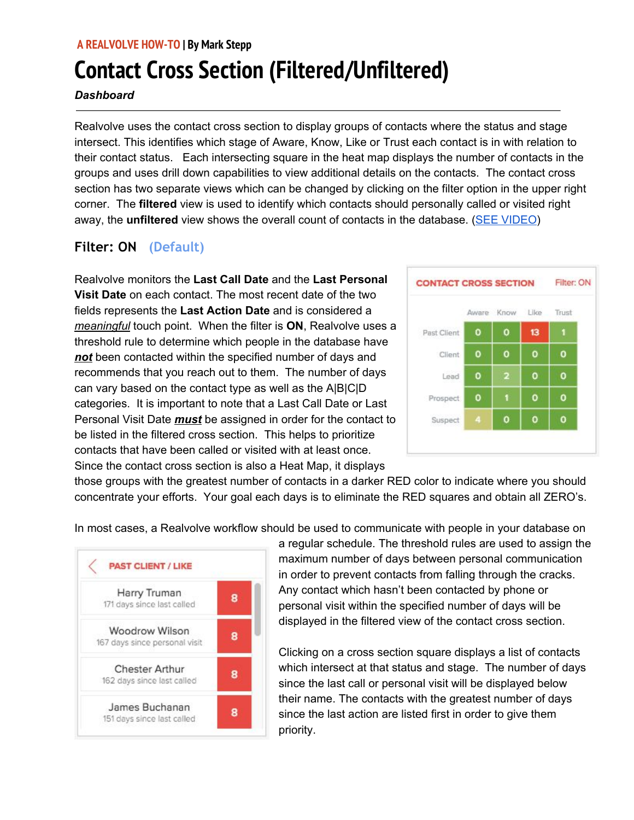### **A REALVOLVE HOW-TO | By Mark Stepp**

# **Contact Cross Section (Filtered/Unfiltered)**

#### *Dashboard*

Realvolve uses the contact cross section to display groups of contacts where the status and stage intersect. This identifies which stage of Aware, Know, Like or Trust each contact is in with relation to their contact status. Each intersecting square in the heat map displays the number of contacts in the groups and uses drill down capabilities to view additional details on the contacts. The contact cross section has two separate views which can be changed by clicking on the filter option in the upper right corner. The **filtered** view is used to identify which contacts should personally called or visited right away, the **unfiltered** view shows the overall count of contacts in the database. (SEE [VIDEO](https://youtu.be/53KOBEkxNLQ))

# **Filter: ON (Default)**

Realvolve monitors the **Last Call Date** and the **Last Personal Visit Date** on each contact. The most recent date of the two fields represents the **Last Action Date** and is considered a *meaningful* touch point. When the filter is **ON**, Realvolve uses a threshold rule to determine which people in the database have *not* been contacted within the specified number of days and recommends that you reach out to them. The number of days can vary based on the contact type as well as the A|B|C|D categories. It is important to note that a Last Call Date or Last Personal Visit Date *must* be assigned in order for the contact to be listed in the filtered cross section. This helps to prioritize contacts that have been called or visited with at least once. Since the contact cross section is also a Heat Map, it displays



those groups with the greatest number of contacts in a darker RED color to indicate where you should concentrate your efforts. Your goal each days is to eliminate the RED squares and obtain all ZERO's.

In most cases, a Realvolve workflow should be used to communicate with people in your database on



a regular schedule. The threshold rules are used to assign the maximum number of days between personal communication in order to prevent contacts from falling through the cracks. Any contact which hasn't been contacted by phone or personal visit within the specified number of days will be displayed in the filtered view of the contact cross section.

Clicking on a cross section square displays a list of contacts which intersect at that status and stage. The number of days since the last call or personal visit will be displayed below their name. The contacts with the greatest number of days since the last action are listed first in order to give them priority.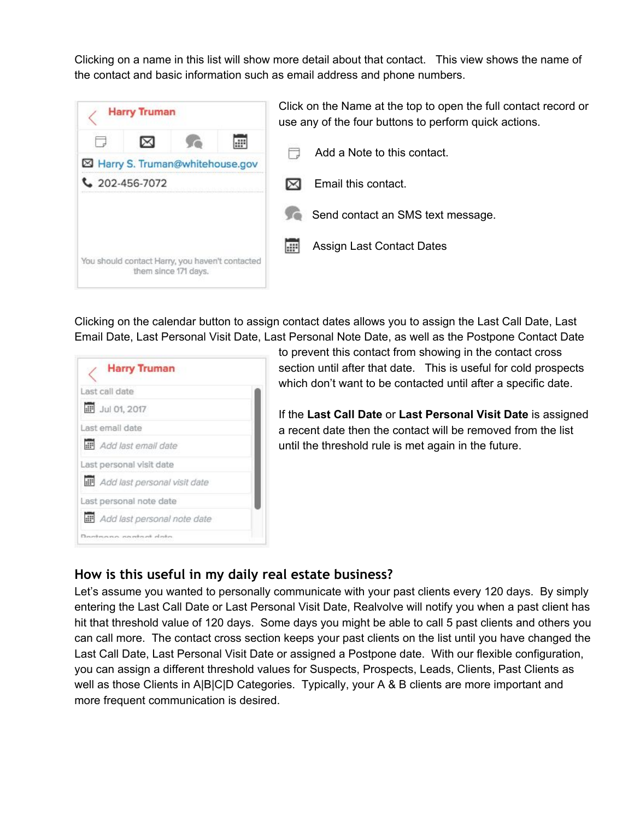Clicking on a name in this list will show more detail about that contact. This view shows the name of the contact and basic information such as email address and phone numbers.



Click on the Name at the top to open the full contact record or use any of the four buttons to perform quick actions.

Add a Note to this contact. 冂

 $\boxtimes$  Email this contact.

Send contact an SMS text message.

疆 Assign Last Contact Dates

Clicking on the calendar button to assign contact dates allows you to assign the Last Call Date, Last Email Date, Last Personal Visit Date, Last Personal Note Date, as well as the Postpone Contact Date

| <b>Harry Truman</b>                     |  |
|-----------------------------------------|--|
| Last call date                          |  |
| <b>III</b> Jul 01, 2017                 |  |
| Last email date                         |  |
| <b>IF</b> Add last email date           |  |
| Last personal visit date                |  |
| <b>III</b> Add last personal visit date |  |
| Last personal note date                 |  |
| <b>IF</b> Add last personal note date   |  |
| Danksana sawhat dala                    |  |

to prevent this contact from showing in the contact cross section until after that date. This is useful for cold prospects which don't want to be contacted until after a specific date.

If the **Last Call Date** or **Last Personal Visit Date** is assigned a recent date then the contact will be removed from the list until the threshold rule is met again in the future.

## **How is this useful in my daily real estate business?**

Let's assume you wanted to personally communicate with your past clients every 120 days. By simply entering the Last Call Date or Last Personal Visit Date, Realvolve will notify you when a past client has hit that threshold value of 120 days. Some days you might be able to call 5 past clients and others you can call more. The contact cross section keeps your past clients on the list until you have changed the Last Call Date, Last Personal Visit Date or assigned a Postpone date. With our flexible configuration, you can assign a different threshold values for Suspects, Prospects, Leads, Clients, Past Clients as well as those Clients in A|B|C|D Categories. Typically, your A & B clients are more important and more frequent communication is desired.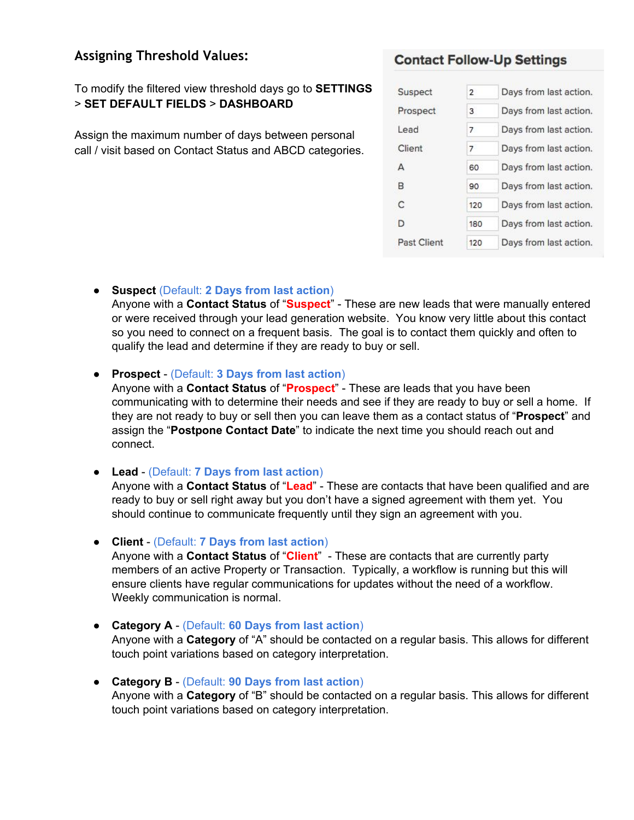## **Assigning Threshold Values:**

To modify the filtered view threshold days go to **SETTINGS** > **SET DEFAULT FIELDS** > **DASHBOARD**

Assign the maximum number of days between personal call / visit based on Contact Status and ABCD categories.

## **Contact Follow-Up Settings**

| Suspect     | $\overline{2}$ | Days from last action. |
|-------------|----------------|------------------------|
| Prospect    | 3              | Days from last action. |
| Lead        | 7              | Days from last action. |
| Client      | 7              | Days from last action. |
| А           | 60             | Days from last action. |
| B           | 90             | Days from last action. |
| C           | 120            | Days from last action. |
| D           | 180            | Days from last action. |
| Past Client | 120            | Days from last action. |

● **Suspect** (Default: **2 Days from last action**)

Anyone with a **Contact Status** of "**Suspect**" - These are new leads that were manually entered or were received through your lead generation website. You know very little about this contact so you need to connect on a frequent basis. The goal is to contact them quickly and often to qualify the lead and determine if they are ready to buy or sell.

● **Prospect** - (Default: **3 Days from last action**)

Anyone with a **Contact Status** of "**Prospect**" - These are leads that you have been communicating with to determine their needs and see if they are ready to buy or sell a home. If they are not ready to buy or sell then you can leave them as a contact status of "**Prospect**" and assign the "**Postpone Contact Date**" to indicate the next time you should reach out and connect.

#### ● **Lead** - (Default: **7 Days from last action**)

Anyone with a **Contact Status** of "**Lead**" - These are contacts that have been qualified and are ready to buy or sell right away but you don't have a signed agreement with them yet. You should continue to communicate frequently until they sign an agreement with you.

● **Client** - (Default: **7 Days from last action**)

Anyone with a **Contact Status** of "**Client**" - These are contacts that are currently party members of an active Property or Transaction. Typically, a workflow is running but this will ensure clients have regular communications for updates without the need of a workflow. Weekly communication is normal.

- **Category A** (Default: **60 Days from last action**) Anyone with a **Category** of "A" should be contacted on a regular basis. This allows for different touch point variations based on category interpretation.
- **Category B** (Default: **90 Days from last action**) Anyone with a **Category** of "B" should be contacted on a regular basis. This allows for different touch point variations based on category interpretation.